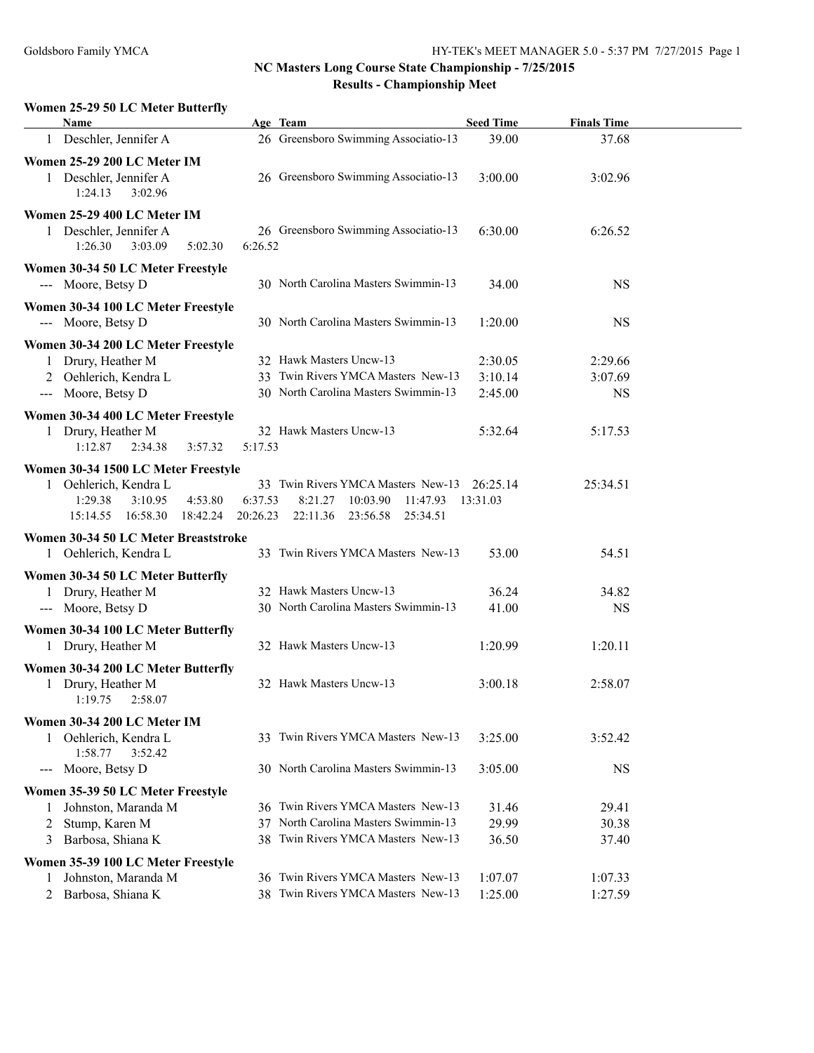## **Women 25-29 50 LC Meter Butterfly**

|                                        | Name                                                                                                     |                                            | Age Team                                                                                                   | <b>Seed Time</b>              | <b>Finals Time</b>              |  |
|----------------------------------------|----------------------------------------------------------------------------------------------------------|--------------------------------------------|------------------------------------------------------------------------------------------------------------|-------------------------------|---------------------------------|--|
|                                        | 1 Deschler, Jennifer A                                                                                   |                                            | 26 Greensboro Swimming Associatio-13                                                                       | 39.00                         | 37.68                           |  |
|                                        | Women 25-29 200 LC Meter IM<br>1 Deschler, Jennifer A<br>1:24.13<br>3:02.96                              |                                            | 26 Greensboro Swimming Associatio-13                                                                       | 3:00.00                       | 3:02.96                         |  |
|                                        | Women 25-29 400 LC Meter IM<br>1 Deschler, Jennifer A<br>1:26.30<br>3:03.09                              | 5:02.30<br>6:26.52                         | 26 Greensboro Swimming Associatio-13                                                                       | 6:30.00                       | 6:26.52                         |  |
|                                        | Women 30-34 50 LC Meter Freestyle<br>--- Moore, Betsy D                                                  |                                            | 30 North Carolina Masters Swimmin-13                                                                       | 34.00                         | <b>NS</b>                       |  |
|                                        | Women 30-34 100 LC Meter Freestyle<br>--- Moore, Betsy D                                                 |                                            | 30 North Carolina Masters Swimmin-13                                                                       | 1:20.00                       | <b>NS</b>                       |  |
| $\hspace{0.05cm}---$                   | Women 30-34 200 LC Meter Freestyle<br>1 Drury, Heather M<br>Oehlerich, Kendra L<br>Moore, Betsy D        |                                            | 32 Hawk Masters Uncw-13<br>33 Twin Rivers YMCA Masters New-13<br>30 North Carolina Masters Swimmin-13      | 2:30.05<br>3:10.14<br>2:45.00 | 2:29.66<br>3:07.69<br><b>NS</b> |  |
|                                        | Women 30-34 400 LC Meter Freestyle<br>1 Drury, Heather M<br>1:12.87<br>2:34.38                           | 5:17.53<br>3:57.32                         | 32 Hawk Masters Uncw-13                                                                                    | 5:32.64                       | 5:17.53                         |  |
|                                        | Women 30-34 1500 LC Meter Freestyle<br>Oehlerich, Kendra L<br>1:29.38<br>3:10.95<br>16:58.30<br>15:14.55 | 4:53.80<br>6:37.53<br>18:42.24<br>20:26.23 | 33 Twin Rivers YMCA Masters New-13<br>8:21.27<br>10:03.90<br>11:47.93<br>22:11.36<br>23:56.58<br>25:34.51  | 26:25.14<br>13:31.03          | 25:34.51                        |  |
|                                        | Women 30-34 50 LC Meter Breaststroke<br>1 Oehlerich, Kendra L                                            |                                            | 33 Twin Rivers YMCA Masters New-13                                                                         | 53.00                         | 54.51                           |  |
|                                        | Women 30-34 50 LC Meter Butterfly<br>1 Drury, Heather M<br>--- Moore, Betsy D                            |                                            | 32 Hawk Masters Uncw-13<br>30 North Carolina Masters Swimmin-13                                            | 36.24<br>41.00                | 34.82<br><b>NS</b>              |  |
|                                        | Women 30-34 100 LC Meter Butterfly<br>1 Drury, Heather M                                                 |                                            | 32 Hawk Masters Uncw-13                                                                                    | 1:20.99                       | 1:20.11                         |  |
|                                        | Women 30-34 200 LC Meter Butterfly<br>1 Drury, Heather M<br>1:19.75<br>2:58.07                           |                                            | 32 Hawk Masters Uncw-13                                                                                    | 3:00.18                       | 2:58.07                         |  |
|                                        | Women 30-34 200 LC Meter IM<br>1 Oehlerich, Kendra L<br>1:58.77<br>3:52.42                               |                                            | 33 Twin Rivers YMCA Masters New-13                                                                         | 3:25.00                       | 3:52.42                         |  |
| $\scriptstyle\cdots\scriptstyle\cdots$ | Moore, Betsy D                                                                                           |                                            | 30 North Carolina Masters Swimmin-13                                                                       | 3:05.00                       | <b>NS</b>                       |  |
| 1<br>2<br>3                            | Women 35-39 50 LC Meter Freestyle<br>Johnston, Maranda M<br>Stump, Karen M<br>Barbosa, Shiana K          | 37<br>38.                                  | 36 Twin Rivers YMCA Masters New-13<br>North Carolina Masters Swimmin-13<br>Twin Rivers YMCA Masters New-13 | 31.46<br>29.99<br>36.50       | 29.41<br>30.38<br>37.40         |  |
| 1<br>2                                 | Women 35-39 100 LC Meter Freestyle<br>Johnston, Maranda M<br>Barbosa, Shiana K                           | 36                                         | Twin Rivers YMCA Masters New-13<br>38 Twin Rivers YMCA Masters New-13                                      | 1:07.07<br>1:25.00            | 1:07.33<br>1:27.59              |  |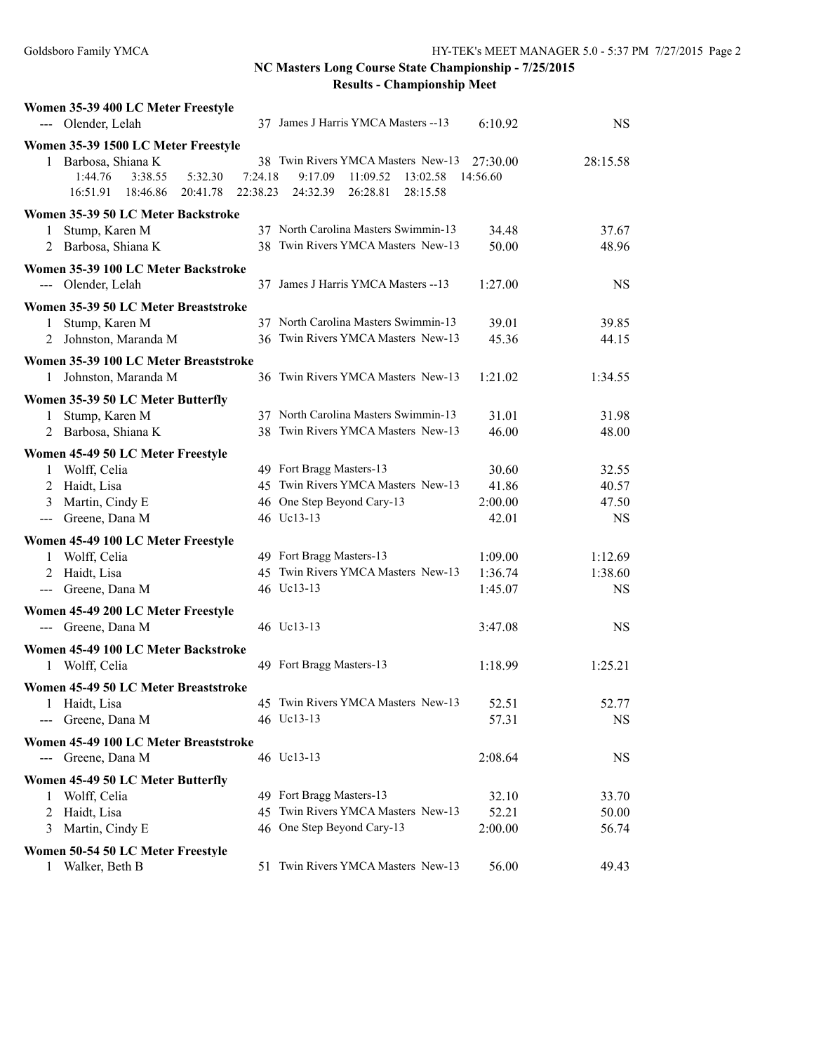| Women 35-39 400 LC Meter Freestyle    |          |                                      |          |           |
|---------------------------------------|----------|--------------------------------------|----------|-----------|
| --- Olender, Lelah                    |          | 37 James J Harris YMCA Masters -- 13 | 6:10.92  | <b>NS</b> |
| Women 35-39 1500 LC Meter Freestyle   |          |                                      |          |           |
| 1 Barbosa, Shiana K                   |          | 38 Twin Rivers YMCA Masters New-13   | 27:30.00 | 28:15.58  |
| 1:44.76<br>3:38.55<br>5:32.30         | 7:24.18  | 9:17.09<br>11:09.52<br>13:02.58      | 14:56.60 |           |
| 16:51.91<br>18:46.86<br>20:41.78      | 22:38.23 | 24:32.39<br>26:28.81<br>28:15.58     |          |           |
| Women 35-39 50 LC Meter Backstroke    |          |                                      |          |           |
| Stump, Karen M<br>1                   |          | 37 North Carolina Masters Swimmin-13 | 34.48    | 37.67     |
| Barbosa, Shiana K<br>2                |          | 38 Twin Rivers YMCA Masters New-13   | 50.00    | 48.96     |
| Women 35-39 100 LC Meter Backstroke   |          |                                      |          |           |
| --- Olender, Lelah                    |          | 37 James J Harris YMCA Masters -- 13 | 1:27.00  | <b>NS</b> |
| Women 35-39 50 LC Meter Breaststroke  |          |                                      |          |           |
| Stump, Karen M<br>$\mathbf{1}$        |          | 37 North Carolina Masters Swimmin-13 | 39.01    | 39.85     |
| Johnston, Maranda M<br>2              |          | 36 Twin Rivers YMCA Masters New-13   | 45.36    | 44.15     |
| Women 35-39 100 LC Meter Breaststroke |          |                                      |          |           |
| Johnston, Maranda M<br>1              |          | 36 Twin Rivers YMCA Masters New-13   | 1:21.02  | 1:34.55   |
| Women 35-39 50 LC Meter Butterfly     |          |                                      |          |           |
| Stump, Karen M<br>1                   |          | 37 North Carolina Masters Swimmin-13 | 31.01    | 31.98     |
| 2 Barbosa, Shiana K                   |          | 38 Twin Rivers YMCA Masters New-13   | 46.00    | 48.00     |
| Women 45-49 50 LC Meter Freestyle     |          |                                      |          |           |
| Wolff, Celia<br>1                     |          | 49 Fort Bragg Masters-13             | 30.60    | 32.55     |
| Haidt, Lisa<br>2                      |          | 45 Twin Rivers YMCA Masters New-13   | 41.86    | 40.57     |
| 3 Martin, Cindy E                     |          | 46 One Step Beyond Cary-13           | 2:00.00  | 47.50     |
| Greene, Dana M<br>$\qquad \qquad - -$ |          | 46 Uc13-13                           | 42.01    | <b>NS</b> |
| Women 45-49 100 LC Meter Freestyle    |          |                                      |          |           |
| Wolff, Celia<br>$\mathbf{1}$          |          | 49 Fort Bragg Masters-13             | 1:09.00  | 1:12.69   |
| 2 Haidt, Lisa                         |          | 45 Twin Rivers YMCA Masters New-13   | 1:36.74  | 1:38.60   |
| --- Greene, Dana M                    |          | 46 Uc13-13                           | 1:45.07  | <b>NS</b> |
| Women 45-49 200 LC Meter Freestyle    |          |                                      |          |           |
| --- Greene, Dana M                    |          | 46 Uc13-13                           | 3:47.08  | <b>NS</b> |
| Women 45-49 100 LC Meter Backstroke   |          |                                      |          |           |
| 1 Wolff, Celia                        |          | 49 Fort Bragg Masters-13             | 1:18.99  | 1:25.21   |
| Women 45-49 50 LC Meter Breaststroke  |          |                                      |          |           |
| Haidt, Lisa<br>1                      |          | 45 Twin Rivers YMCA Masters New-13   | 52.51    | 52.77     |
| Greene, Dana M<br>$\qquad \qquad - -$ |          | 46 Uc13-13                           | 57.31    | <b>NS</b> |
| Women 45-49 100 LC Meter Breaststroke |          |                                      |          |           |
| --- Greene, Dana M                    |          | 46 Uc13-13                           | 2:08.64  | <b>NS</b> |
| Women 45-49 50 LC Meter Butterfly     |          |                                      |          |           |
| Wolff, Celia<br>1                     |          | 49 Fort Bragg Masters-13             | 32.10    | 33.70     |
| Haidt, Lisa<br>2                      |          | 45 Twin Rivers YMCA Masters New-13   | 52.21    | 50.00     |
| Martin, Cindy E<br>3                  |          | 46 One Step Beyond Cary-13           | 2:00.00  | 56.74     |
| Women 50-54 50 LC Meter Freestyle     |          |                                      |          |           |
| Walker, Beth B<br>1                   |          | 51 Twin Rivers YMCA Masters New-13   | 56.00    | 49.43     |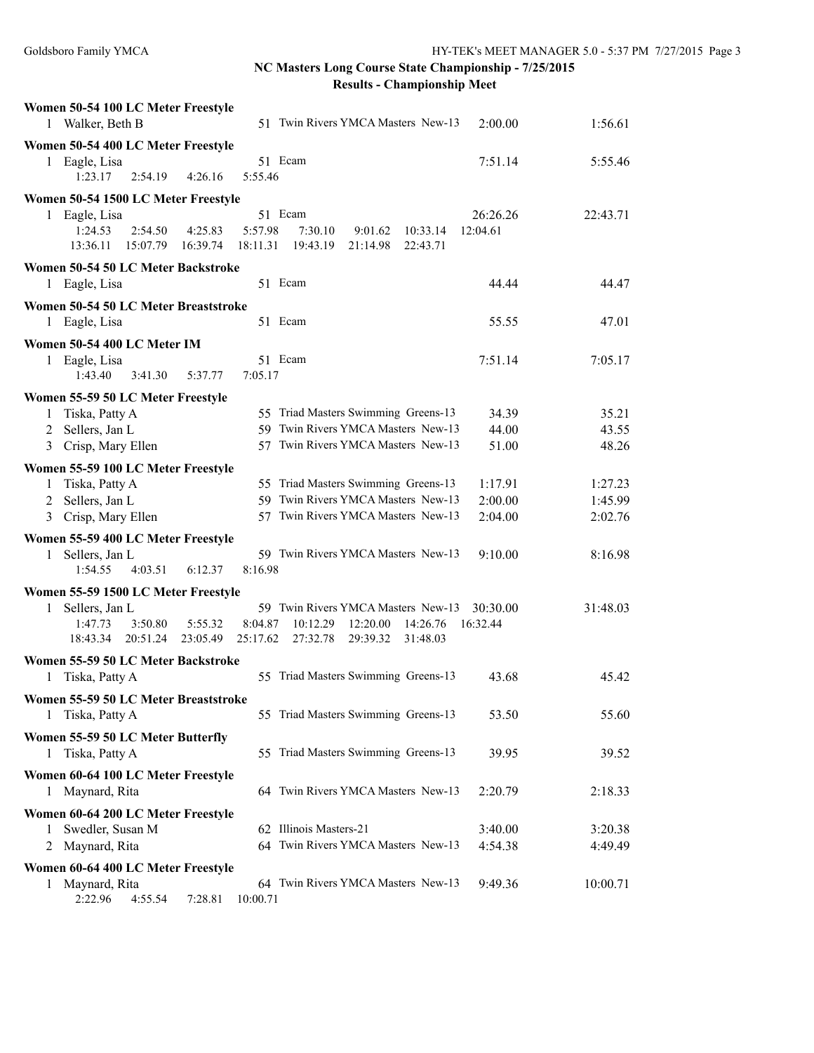# **NC Masters Long Course State Championship - 7/25/2015**

**Results - Championship Meet**

| Women 50-54 100 LC Meter Freestyle<br>1 Walker, Beth B<br>51 Twin Rivers YMCA Masters New-13                                                                                               | 2:00.00              | 1:56.61  |
|--------------------------------------------------------------------------------------------------------------------------------------------------------------------------------------------|----------------------|----------|
| Women 50-54 400 LC Meter Freestyle                                                                                                                                                         |                      |          |
| 51 Ecam<br>Eagle, Lisa<br>1<br>2:54.19<br>5:55.46<br>1:23.17<br>4:26.16                                                                                                                    | 7:51.14              | 5:55.46  |
| Women 50-54 1500 LC Meter Freestyle                                                                                                                                                        |                      |          |
| 51 Ecam<br>1 Eagle, Lisa<br>1:24.53<br>2:54.50<br>5:57.98<br>4:25.83<br>7:30.10<br>9:01.62<br>10:33.14<br>15:07.79<br>13:36.11<br>16:39.74<br>18:11.31<br>19:43.19<br>21:14.98<br>22:43.71 | 26:26.26<br>12:04.61 | 22:43.71 |
| Women 50-54 50 LC Meter Backstroke                                                                                                                                                         |                      |          |
| 1 Eagle, Lisa<br>51 Ecam                                                                                                                                                                   | 44.44                | 44.47    |
| Women 50-54 50 LC Meter Breaststroke                                                                                                                                                       |                      |          |
| 51 Ecam<br>Eagle, Lisa<br>$\mathbf{1}$                                                                                                                                                     | 55.55                | 47.01    |
| Women 50-54 400 LC Meter IM                                                                                                                                                                |                      |          |
| 1 Eagle, Lisa<br>51 Ecam<br>1:43.40<br>3:41.30<br>7:05.17<br>5:37.77                                                                                                                       | 7:51.14              | 7:05.17  |
| Women 55-59 50 LC Meter Freestyle                                                                                                                                                          |                      |          |
| 55 Triad Masters Swimming Greens-13<br>Tiska, Patty A<br>1                                                                                                                                 | 34.39                | 35.21    |
| 59 Twin Rivers YMCA Masters New-13<br>2 Sellers, Jan L                                                                                                                                     | 44.00                | 43.55    |
| Crisp, Mary Ellen<br>57 Twin Rivers YMCA Masters New-13<br>3                                                                                                                               | 51.00                | 48.26    |
| Women 55-59 100 LC Meter Freestyle                                                                                                                                                         |                      |          |
| 55 Triad Masters Swimming Greens-13<br>Tiska, Patty A<br>1                                                                                                                                 | 1:17.91              | 1:27.23  |
| 59 Twin Rivers YMCA Masters New-13<br>2 Sellers, Jan L                                                                                                                                     | 2:00.00              | 1:45.99  |
| 57 Twin Rivers YMCA Masters New-13<br>3 Crisp, Mary Ellen                                                                                                                                  | 2:04.00              | 2:02.76  |
| Women 55-59 400 LC Meter Freestyle                                                                                                                                                         |                      |          |
| 59 Twin Rivers YMCA Masters New-13<br>Sellers, Jan L<br>$\mathbf{1}$                                                                                                                       | 9:10.00              | 8:16.98  |
| 8:16.98<br>1:54.55<br>4:03.51<br>6:12.37                                                                                                                                                   |                      |          |
| Women 55-59 1500 LC Meter Freestyle                                                                                                                                                        |                      |          |
| 59 Twin Rivers YMCA Masters New-13<br>Sellers, Jan L<br>1                                                                                                                                  | 30:30.00             | 31:48.03 |
| 3:50.80<br>5:55.32<br>10:12.29<br>1:47.73<br>8:04.87<br>12:20.00<br>14:26.76<br>18:43.34<br>20:51.24<br>23:05.49<br>25:17.62<br>27:32.78<br>29:39.32<br>31:48.03                           | 16:32.44             |          |
|                                                                                                                                                                                            |                      |          |
| Women 55-59 50 LC Meter Backstroke<br>55 Triad Masters Swimming Greens-13<br>Tiska, Patty A<br>1                                                                                           | 43.68                | 45.42    |
|                                                                                                                                                                                            |                      |          |
| Women 55-59 50 LC Meter Breaststroke<br>55 Triad Masters Swimming Greens-13<br>Tiska, Patty A<br>1                                                                                         | 53.50                | 55.60    |
| Women 55-59 50 LC Meter Butterfly                                                                                                                                                          |                      |          |
| 55 Triad Masters Swimming Greens-13<br>Tiska, Patty A<br>1                                                                                                                                 | 39.95                | 39.52    |
| Women 60-64 100 LC Meter Freestyle<br>64 Twin Rivers YMCA Masters New-13<br>Maynard, Rita<br>1                                                                                             | 2:20.79              | 2:18.33  |
| Women 60-64 200 LC Meter Freestyle                                                                                                                                                         |                      |          |
| 62 Illinois Masters-21<br>Swedler, Susan M<br>1                                                                                                                                            | 3:40.00              | 3:20.38  |
| 64 Twin Rivers YMCA Masters New-13<br>Maynard, Rita<br>2                                                                                                                                   | 4:54.38              | 4:49.49  |
| Women 60-64 400 LC Meter Freestyle                                                                                                                                                         |                      |          |
| 64 Twin Rivers YMCA Masters New-13<br>1 Maynard, Rita                                                                                                                                      | 9:49.36              | 10:00.71 |
| 2:22.96<br>7:28.81<br>10:00.71<br>4:55.54                                                                                                                                                  |                      |          |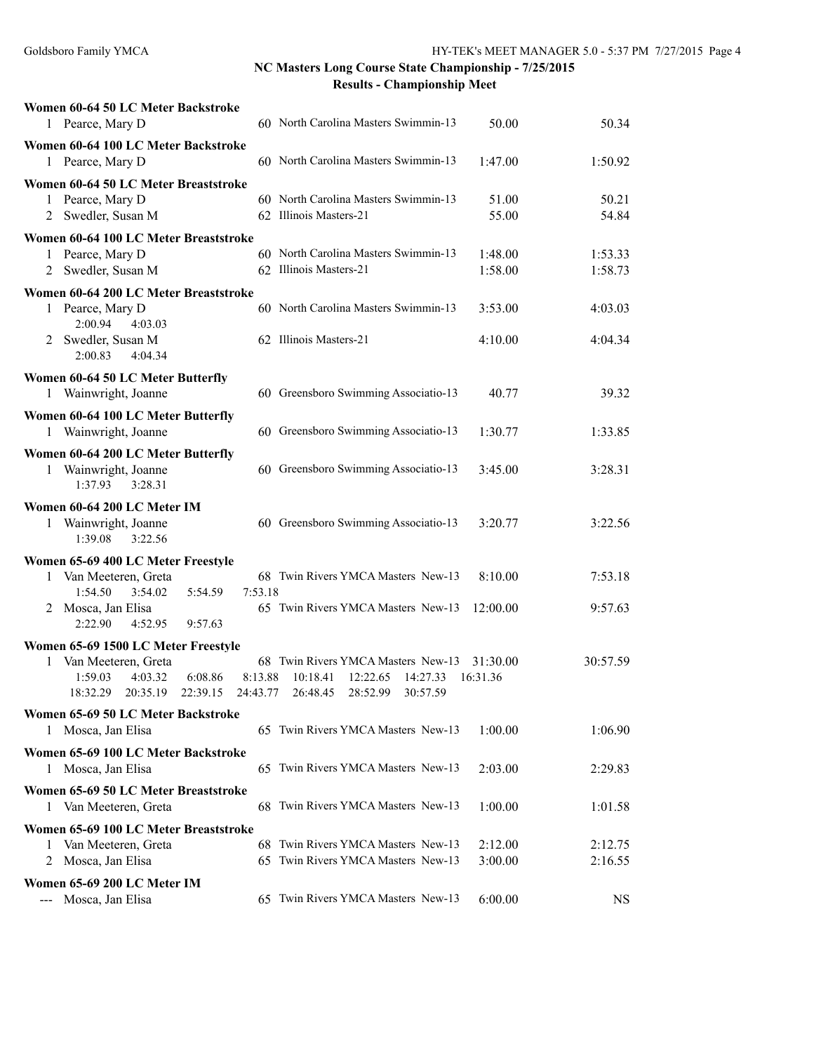| Women 60-64 50 LC Meter Backstroke                        |          |                                                                       |                    |                    |
|-----------------------------------------------------------|----------|-----------------------------------------------------------------------|--------------------|--------------------|
| 1 Pearce, Mary D                                          |          | 60 North Carolina Masters Swimmin-13                                  | 50.00              | 50.34              |
| Women 60-64 100 LC Meter Backstroke                       |          |                                                                       |                    |                    |
| 1 Pearce, Mary D                                          |          | 60 North Carolina Masters Swimmin-13                                  | 1:47.00            | 1:50.92            |
| Women 60-64 50 LC Meter Breaststroke                      |          |                                                                       |                    |                    |
| Pearce, Mary D<br>$\mathbf{1}$                            |          | 60 North Carolina Masters Swimmin-13                                  | 51.00              | 50.21              |
| Swedler, Susan M<br>2                                     |          | 62 Illinois Masters-21                                                | 55.00              | 54.84              |
| Women 60-64 100 LC Meter Breaststroke                     |          |                                                                       |                    |                    |
| Pearce, Mary D<br>1                                       |          | 60 North Carolina Masters Swimmin-13<br>62 Illinois Masters-21        | 1:48.00<br>1:58.00 | 1:53.33<br>1:58.73 |
| Swedler, Susan M<br>2                                     |          |                                                                       |                    |                    |
| Women 60-64 200 LC Meter Breaststroke                     |          | 60 North Carolina Masters Swimmin-13                                  |                    |                    |
| 1 Pearce, Mary D<br>2:00.94<br>4:03.03                    |          |                                                                       | 3:53.00            | 4:03.03            |
| 2 Swedler, Susan M                                        |          | 62 Illinois Masters-21                                                | 4:10.00            | 4:04.34            |
| 2:00.83<br>4:04.34                                        |          |                                                                       |                    |                    |
| Women 60-64 50 LC Meter Butterfly                         |          |                                                                       |                    |                    |
| Wainwright, Joanne<br>1                                   |          | 60 Greensboro Swimming Associatio-13                                  | 40.77              | 39.32              |
| Women 60-64 100 LC Meter Butterfly                        |          |                                                                       |                    |                    |
| 1 Wainwright, Joanne                                      |          | 60 Greensboro Swimming Associatio-13                                  | 1:30.77            | 1:33.85            |
| Women 60-64 200 LC Meter Butterfly                        |          |                                                                       |                    |                    |
| Wainwright, Joanne<br>1                                   |          | 60 Greensboro Swimming Associatio-13                                  | 3:45.00            | 3:28.31            |
| 3:28.31<br>1:37.93                                        |          |                                                                       |                    |                    |
| Women 60-64 200 LC Meter IM                               |          |                                                                       |                    |                    |
| 1 Wainwright, Joanne                                      |          | 60 Greensboro Swimming Associatio-13                                  | 3:20.77            | 3:22.56            |
| 1:39.08<br>3:22.56                                        |          |                                                                       |                    |                    |
| Women 65-69 400 LC Meter Freestyle                        |          |                                                                       |                    |                    |
| Van Meeteren, Greta<br>1<br>1:54.50<br>3:54.02<br>5:54.59 | 7:53.18  | 68 Twin Rivers YMCA Masters New-13                                    | 8:10.00            | 7:53.18            |
| 2 Mosca, Jan Elisa                                        |          | 65 Twin Rivers YMCA Masters New-13                                    | 12:00.00           | 9:57.63            |
| 2:22.90<br>4:52.95<br>9:57.63                             |          |                                                                       |                    |                    |
| Women 65-69 1500 LC Meter Freestyle                       |          |                                                                       |                    |                    |
| Van Meeteren, Greta<br>1                                  |          | 68 Twin Rivers YMCA Masters New-13                                    | 31:30.00           | 30:57.59           |
| 6:08.86<br>1:59.03<br>4:03.32                             | 8:13.88  | 10:18.41<br>12:22.65<br>14:27.33                                      | 16:31.36           |                    |
| 18:32.29<br>20:35.19<br>22:39.15                          | 24:43.77 | 26:48.45<br>28:52.99<br>30:57.59                                      |                    |                    |
| Women 65-69 50 LC Meter Backstroke                        |          |                                                                       |                    |                    |
| 1 Mosca, Jan Elisa                                        |          | 65 Twin Rivers YMCA Masters New-13                                    | 1:00.00            | 1:06.90            |
| Women 65-69 100 LC Meter Backstroke                       |          |                                                                       |                    |                    |
| Mosca, Jan Elisa<br>1                                     |          | 65 Twin Rivers YMCA Masters New-13                                    | 2:03.00            | 2:29.83            |
| Women 65-69 50 LC Meter Breaststroke                      |          |                                                                       |                    |                    |
| Van Meeteren, Greta<br>1                                  |          | 68 Twin Rivers YMCA Masters New-13                                    | 1:00.00            | 1:01.58            |
| Women 65-69 100 LC Meter Breaststroke                     |          |                                                                       |                    |                    |
| Van Meeteren, Greta<br>1                                  | 68       | Twin Rivers YMCA Masters New-13<br>65 Twin Rivers YMCA Masters New-13 | 2:12.00            | 2:12.75            |
| Mosca, Jan Elisa<br>2                                     |          |                                                                       | 3:00.00            | 2:16.55            |
| Women 65-69 200 LC Meter IM                               |          | 65 Twin Rivers YMCA Masters New-13                                    |                    |                    |
| Mosca, Jan Elisa                                          |          |                                                                       | 6:00.00            | <b>NS</b>          |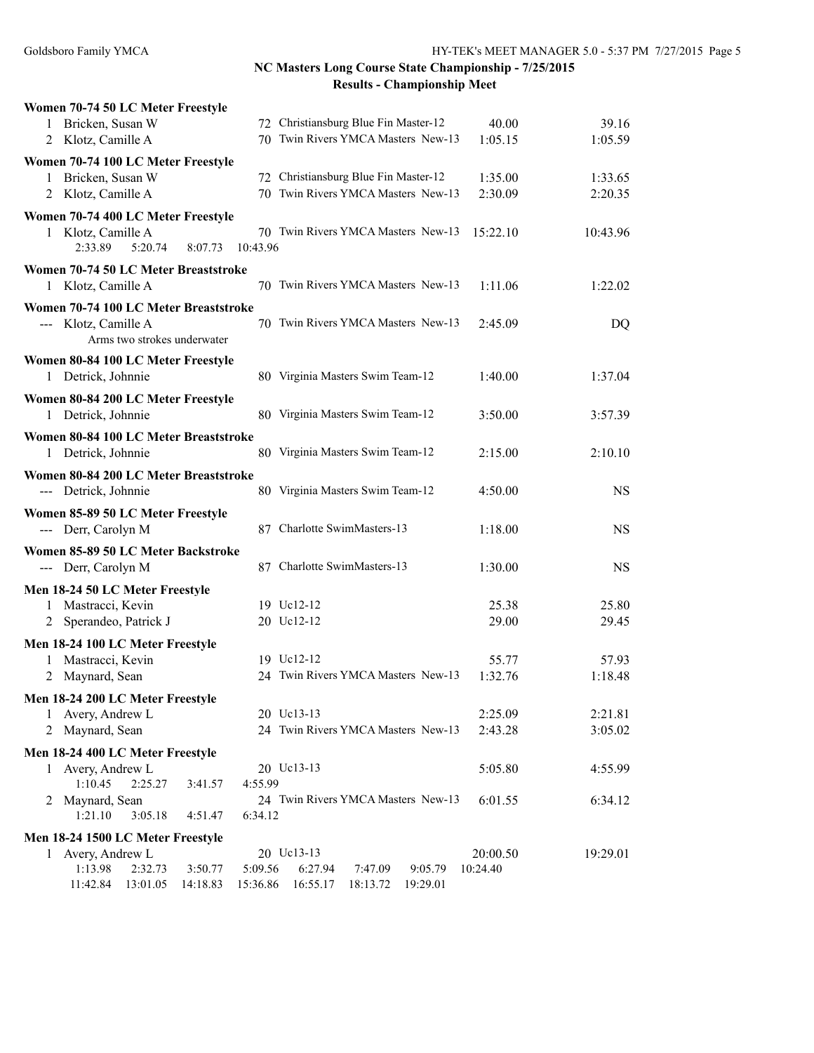|   | Women 70-74 50 LC Meter Freestyle                        |          |          |                                      |          |           |
|---|----------------------------------------------------------|----------|----------|--------------------------------------|----------|-----------|
|   | 1 Bricken, Susan W                                       |          |          | 72 Christiansburg Blue Fin Master-12 | 40.00    | 39.16     |
|   | 2 Klotz, Camille A                                       |          |          | 70 Twin Rivers YMCA Masters New-13   | 1:05.15  | 1:05.59   |
|   | Women 70-74 100 LC Meter Freestyle                       |          |          |                                      |          |           |
| 1 | Bricken, Susan W                                         |          |          | 72 Christiansburg Blue Fin Master-12 | 1:35.00  | 1:33.65   |
| 2 | Klotz, Camille A                                         |          |          | 70 Twin Rivers YMCA Masters New-13   | 2:30.09  | 2:20.35   |
|   | Women 70-74 400 LC Meter Freestyle                       |          |          |                                      |          |           |
| 1 | Klotz, Camille A                                         |          |          | 70 Twin Rivers YMCA Masters New-13   | 15:22.10 | 10:43.96  |
|   | 2:33.89<br>5:20.74                                       | 8:07.73  | 10:43.96 |                                      |          |           |
|   | Women 70-74 50 LC Meter Breaststroke                     |          |          |                                      |          |           |
|   | 1 Klotz, Camille A                                       |          |          | 70 Twin Rivers YMCA Masters New-13   | 1:11.06  | 1:22.02   |
|   |                                                          |          |          |                                      |          |           |
|   | Women 70-74 100 LC Meter Breaststroke                    |          |          | 70 Twin Rivers YMCA Masters New-13   |          |           |
|   | --- Klotz, Camille A<br>Arms two strokes underwater      |          |          |                                      | 2:45.09  | DQ        |
|   |                                                          |          |          |                                      |          |           |
|   | Women 80-84 100 LC Meter Freestyle                       |          |          |                                      |          |           |
|   | 1 Detrick, Johnnie                                       |          |          | 80 Virginia Masters Swim Team-12     | 1:40.00  | 1:37.04   |
|   | Women 80-84 200 LC Meter Freestyle                       |          |          |                                      |          |           |
|   | 1 Detrick, Johnnie                                       |          |          | 80 Virginia Masters Swim Team-12     | 3:50.00  | 3:57.39   |
|   | Women 80-84 100 LC Meter Breaststroke                    |          |          |                                      |          |           |
|   | 1 Detrick, Johnnie                                       |          |          | 80 Virginia Masters Swim Team-12     | 2:15.00  | 2:10.10   |
|   | Women 80-84 200 LC Meter Breaststroke                    |          |          |                                      |          |           |
|   | --- Detrick, Johnnie                                     |          |          | 80 Virginia Masters Swim Team-12     | 4:50.00  | <b>NS</b> |
|   |                                                          |          |          |                                      |          |           |
|   | Women 85-89 50 LC Meter Freestyle<br>--- Derr, Carolyn M |          |          | 87 Charlotte SwimMasters-13          | 1:18.00  | <b>NS</b> |
|   |                                                          |          |          |                                      |          |           |
|   | Women 85-89 50 LC Meter Backstroke                       |          |          |                                      |          |           |
|   | --- Derr, Carolyn M                                      |          |          | 87 Charlotte SwimMasters-13          | 1:30.00  | <b>NS</b> |
|   | Men 18-24 50 LC Meter Freestyle                          |          |          |                                      |          |           |
| 1 | Mastracci, Kevin                                         |          |          | 19 Uc12-12                           | 25.38    | 25.80     |
|   | Sperandeo, Patrick J                                     |          |          | 20 Uc12-12                           | 29.00    | 29.45     |
|   | Men 18-24 100 LC Meter Freestyle                         |          |          |                                      |          |           |
| 1 | Mastracci, Kevin                                         |          |          | 19 Uc12-12                           | 55.77    | 57.93     |
| 2 | Maynard, Sean                                            |          |          | 24 Twin Rivers YMCA Masters New-13   | 1:32.76  | 1:18.48   |
|   | Men 18-24 200 LC Meter Freestyle                         |          |          |                                      |          |           |
|   | 1 Avery, Andrew L                                        |          |          | 20 Uc13-13                           | 2:25.09  | 2:21.81   |
|   | 2 Maynard, Sean                                          |          |          | 24 Twin Rivers YMCA Masters New-13   | 2:43.28  | 3:05.02   |
|   |                                                          |          |          |                                      |          |           |
|   | Men 18-24 400 LC Meter Freestyle<br>1 Avery, Andrew L    |          |          | 20 Uc13-13                           | 5:05.80  | 4:55.99   |
|   | 1:10.45<br>2:25.27                                       | 3:41.57  | 4:55.99  |                                      |          |           |
| 2 | Maynard, Sean                                            |          |          | 24 Twin Rivers YMCA Masters New-13   | 6:01.55  | 6:34.12   |
|   | 1:21.10<br>3:05.18                                       | 4:51.47  | 6:34.12  |                                      |          |           |
|   | Men 18-24 1500 LC Meter Freestyle                        |          |          |                                      |          |           |
|   | 1 Avery, Andrew L                                        |          |          | 20 Uc13-13                           | 20:00.50 | 19:29.01  |
|   | 1:13.98<br>2:32.73                                       | 3:50.77  | 5:09.56  | 6:27.94<br>7:47.09<br>9:05.79        | 10:24.40 |           |
|   | 11:42.84<br>13:01.05                                     | 14:18.83 | 15:36.86 | 16:55.17<br>18:13.72<br>19:29.01     |          |           |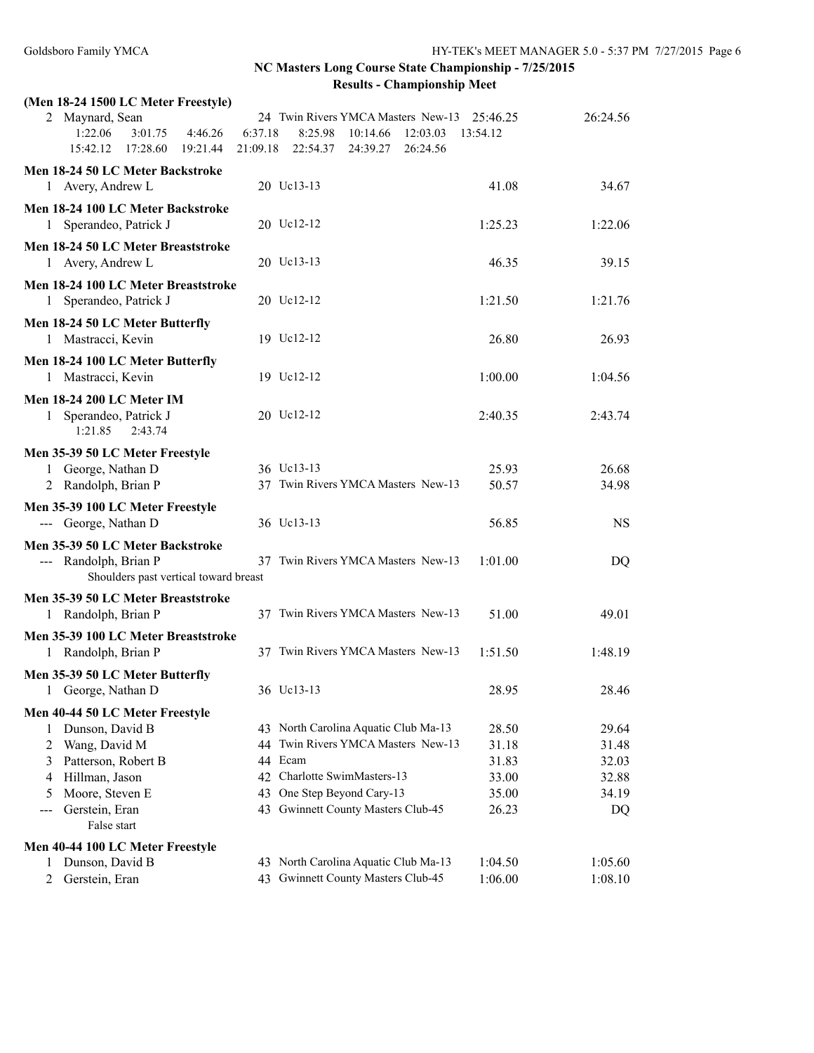**NC Masters Long Course State Championship - 7/25/2015**

| <b>Results - Championship Meet</b> |  |  |  |
|------------------------------------|--|--|--|
|------------------------------------|--|--|--|

| (Men 18-24 1500 LC Meter Freestyle)                                                                |          |                                             |          |           |
|----------------------------------------------------------------------------------------------------|----------|---------------------------------------------|----------|-----------|
| 2 Maynard, Sean                                                                                    |          | 24 Twin Rivers YMCA Masters New-13 25:46.25 |          | 26:24.56  |
| 1:22.06<br>3:01.75<br>4:46.26                                                                      | 6:37.18  | 8:25.98<br>10:14.66<br>12:03.03             | 13:54.12 |           |
| 15:42.12 17:28.60<br>19:21.44                                                                      | 21:09.18 | 22:54.37<br>24:39.27<br>26:24.56            |          |           |
| Men 18-24 50 LC Meter Backstroke                                                                   |          |                                             |          |           |
| 1 Avery, Andrew L                                                                                  |          | 20 Uc13-13                                  | 41.08    | 34.67     |
| Men 18-24 100 LC Meter Backstroke                                                                  |          |                                             |          |           |
| 1 Sperandeo, Patrick J                                                                             |          | 20 Uc12-12                                  | 1:25.23  | 1:22.06   |
| Men 18-24 50 LC Meter Breaststroke<br>1 Avery, Andrew L                                            |          | 20 Uc13-13                                  | 46.35    | 39.15     |
| Men 18-24 100 LC Meter Breaststroke<br>1 Sperandeo, Patrick J                                      |          | 20 Uc12-12                                  | 1:21.50  | 1:21.76   |
| Men 18-24 50 LC Meter Butterfly<br>1 Mastracci, Kevin                                              |          | 19 Uc12-12                                  | 26.80    | 26.93     |
|                                                                                                    |          |                                             |          |           |
| Men 18-24 100 LC Meter Butterfly                                                                   |          | 19 Uc12-12                                  |          | 1:04.56   |
| 1 Mastracci, Kevin                                                                                 |          |                                             | 1:00.00  |           |
| <b>Men 18-24 200 LC Meter IM</b><br>1 Sperandeo, Patrick J<br>1:21.85<br>2:43.74                   |          | 20 Uc12-12                                  | 2:40.35  | 2:43.74   |
| Men 35-39 50 LC Meter Freestyle                                                                    |          |                                             |          |           |
| 1 George, Nathan D                                                                                 |          | 36 Uc13-13                                  | 25.93    | 26.68     |
| 2 Randolph, Brian P                                                                                |          | 37 Twin Rivers YMCA Masters New-13          | 50.57    | 34.98     |
| Men 35-39 100 LC Meter Freestyle                                                                   |          |                                             |          |           |
| --- George, Nathan D                                                                               |          | 36 Uc13-13                                  | 56.85    | <b>NS</b> |
|                                                                                                    |          |                                             |          |           |
| Men 35-39 50 LC Meter Backstroke<br>--- Randolph, Brian P<br>Shoulders past vertical toward breast |          | 37 Twin Rivers YMCA Masters New-13          | 1:01.00  | DQ        |
| Men 35-39 50 LC Meter Breaststroke                                                                 |          |                                             |          |           |
| 1 Randolph, Brian P                                                                                |          | 37 Twin Rivers YMCA Masters New-13          | 51.00    | 49.01     |
| Men 35-39 100 LC Meter Breaststroke                                                                |          |                                             |          |           |
| 1 Randolph, Brian P                                                                                |          | 37 Twin Rivers YMCA Masters New-13          | 1:51.50  | 1:48.19   |
| Men 35-39 50 LC Meter Butterfly                                                                    |          |                                             |          |           |
| George, Nathan D                                                                                   |          | 36 Uc13-13                                  | 28.95    | 28.46     |
| Men 40-44 50 LC Meter Freestyle                                                                    |          |                                             |          |           |
| Dunson, David B<br>1                                                                               |          | 43 North Carolina Aquatic Club Ma-13        | 28.50    | 29.64     |
| 2<br>Wang, David M                                                                                 |          | 44 Twin Rivers YMCA Masters New-13          | 31.18    | 31.48     |
| 3<br>Patterson, Robert B                                                                           |          | 44 Ecam                                     | 31.83    | 32.03     |
| Hillman, Jason<br>4                                                                                |          | 42 Charlotte SwimMasters-13                 | 33.00    | 32.88     |
| Moore, Steven E<br>5                                                                               | 43       | One Step Beyond Cary-13                     | 35.00    | 34.19     |
| Gerstein, Eran<br>---<br>False start                                                               |          | 43 Gwinnett County Masters Club-45          | 26.23    | DQ        |
| Men 40-44 100 LC Meter Freestyle                                                                   |          |                                             |          |           |
| Dunson, David B<br>1                                                                               |          | 43 North Carolina Aquatic Club Ma-13        | 1:04.50  | 1:05.60   |
| Gerstein, Eran<br>2                                                                                |          | 43 Gwinnett County Masters Club-45          | 1:06.00  | 1:08.10   |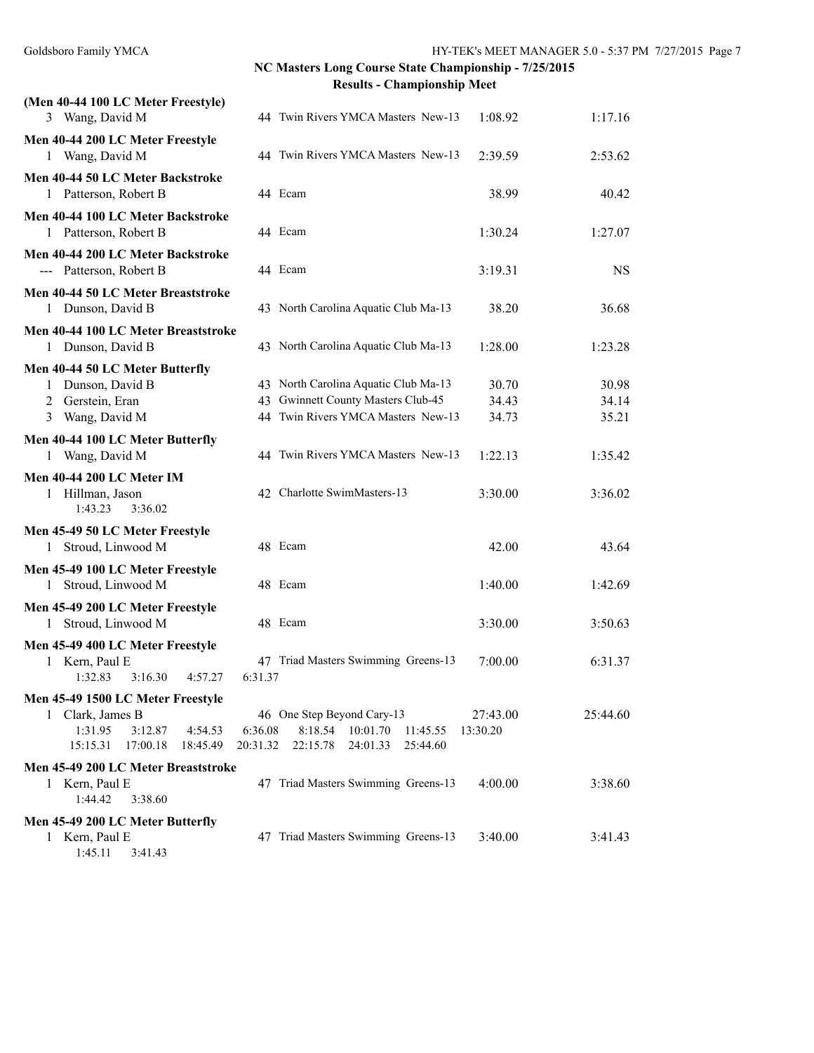| (Men 40-44 100 LC Meter Freestyle)                                                                                         |                     |                                                                                                                  |                         |                         |
|----------------------------------------------------------------------------------------------------------------------------|---------------------|------------------------------------------------------------------------------------------------------------------|-------------------------|-------------------------|
| 3 Wang, David M                                                                                                            |                     | 44 Twin Rivers YMCA Masters New-13                                                                               | 1:08.92                 | 1:17.16                 |
| Men 40-44 200 LC Meter Freestyle<br>1 Wang, David M                                                                        |                     | 44 Twin Rivers YMCA Masters New-13                                                                               | 2:39.59                 | 2:53.62                 |
| Men 40-44 50 LC Meter Backstroke<br>1 Patterson, Robert B                                                                  |                     | 44 Ecam                                                                                                          | 38.99                   | 40.42                   |
| Men 40-44 100 LC Meter Backstroke<br>1 Patterson, Robert B                                                                 |                     | 44 Ecam                                                                                                          | 1:30.24                 | 1:27.07                 |
| Men 40-44 200 LC Meter Backstroke<br>--- Patterson, Robert B                                                               |                     | 44 Ecam                                                                                                          | 3:19.31                 | <b>NS</b>               |
| Men 40-44 50 LC Meter Breaststroke<br>1 Dunson, David B                                                                    |                     | 43 North Carolina Aquatic Club Ma-13                                                                             | 38.20                   | 36.68                   |
| Men 40-44 100 LC Meter Breaststroke<br>1 Dunson, David B                                                                   |                     | 43 North Carolina Aquatic Club Ma-13                                                                             | 1:28.00                 | 1:23.28                 |
| Men 40-44 50 LC Meter Butterfly<br>1 Dunson, David B<br>2 Gerstein, Eran<br>3 Wang, David M                                |                     | 43 North Carolina Aquatic Club Ma-13<br>43 Gwinnett County Masters Club-45<br>44 Twin Rivers YMCA Masters New-13 | 30.70<br>34.43<br>34.73 | 30.98<br>34.14<br>35.21 |
| Men 40-44 100 LC Meter Butterfly<br>1 Wang, David M                                                                        |                     | 44 Twin Rivers YMCA Masters New-13                                                                               | 1:22.13                 | 1:35.42                 |
| <b>Men 40-44 200 LC Meter IM</b><br>1 Hillman, Jason<br>1:43.23<br>3:36.02                                                 |                     | 42 Charlotte SwimMasters-13                                                                                      | 3:30.00                 | 3:36.02                 |
| Men 45-49 50 LC Meter Freestyle<br>1 Stroud, Linwood M                                                                     |                     | 48 Ecam                                                                                                          | 42.00                   | 43.64                   |
| Men 45-49 100 LC Meter Freestyle<br>Stroud, Linwood M<br>1                                                                 |                     | 48 Ecam                                                                                                          | 1:40.00                 | 1:42.69                 |
| Men 45-49 200 LC Meter Freestyle<br>1 Stroud, Linwood M                                                                    |                     | 48 Ecam                                                                                                          | 3:30.00                 | 3:50.63                 |
| Men 45-49 400 LC Meter Freestyle<br>1 Kern, Paul E<br>1:32.83<br>3:16.30<br>4:57.27                                        | 6:31.37             | 47 Triad Masters Swimming Greens-13                                                                              | 7:00.00                 | 6:31.37                 |
| Men 45-49 1500 LC Meter Freestyle<br>1 Clark, James B<br>1:31.95<br>3:12.87<br>4:54.53<br>15:15.31<br>17:00.18<br>18:45.49 | 6:36.08<br>20:31.32 | 46 One Step Beyond Cary-13<br>8:18.54<br>10:01.70<br>11:45.55<br>22:15.78<br>24:01.33<br>25:44.60                | 27:43.00<br>13:30.20    | 25:44.60                |
| Men 45-49 200 LC Meter Breaststroke<br>1 Kern, Paul E<br>1:44.42<br>3:38.60                                                |                     | 47 Triad Masters Swimming Greens-13                                                                              | 4:00.00                 | 3:38.60                 |
| Men 45-49 200 LC Meter Butterfly<br>1 Kern, Paul E<br>1:45.11<br>3:41.43                                                   |                     | 47 Triad Masters Swimming Greens-13                                                                              | 3:40.00                 | 3:41.43                 |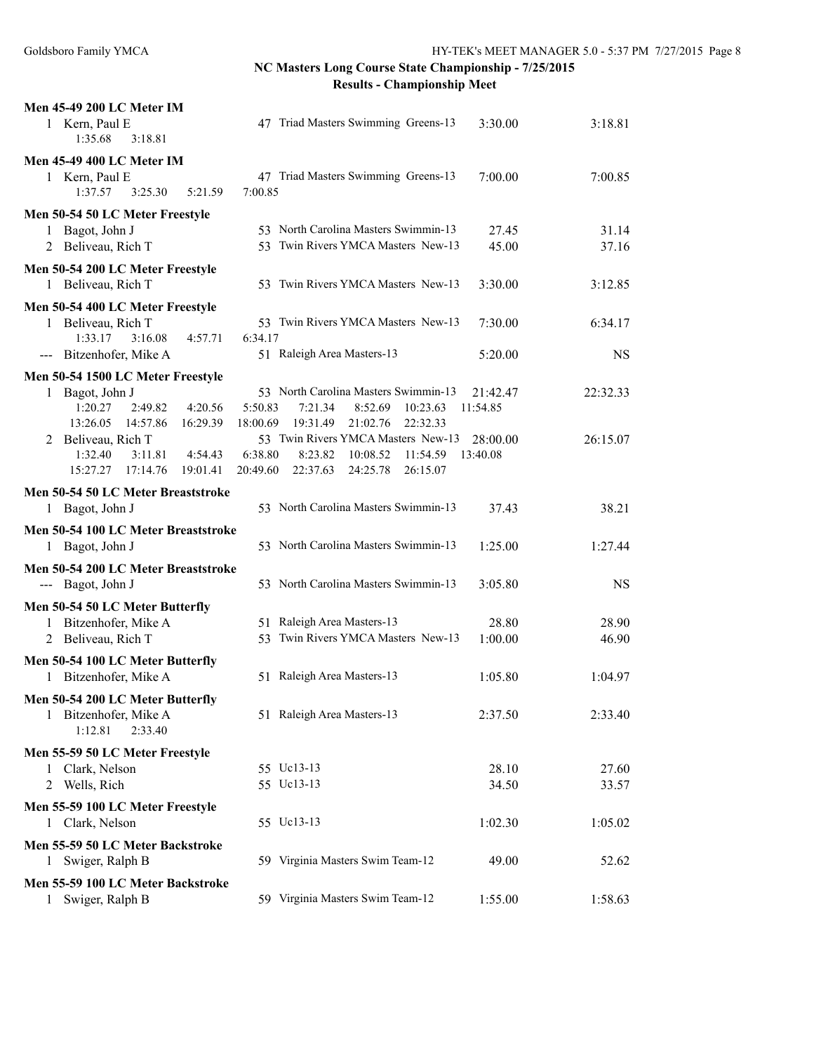| <b>Men 45-49 200 LC Meter IM</b><br>1 Kern, Paul E<br>47 Triad Masters Swimming Greens-13<br>3:18.81<br>3:30.00<br>1:35.68<br>3:18.81 |           |
|---------------------------------------------------------------------------------------------------------------------------------------|-----------|
|                                                                                                                                       |           |
| Men 45-49 400 LC Meter IM                                                                                                             |           |
| 47 Triad Masters Swimming Greens-13<br>1 Kern, Paul E<br>7:00.00<br>7:00.85<br>1:37.57<br>3:25.30<br>5:21.59<br>7:00.85               |           |
| Men 50-54 50 LC Meter Freestyle                                                                                                       |           |
| 53 North Carolina Masters Swimmin-13<br>Bagot, John J<br>27.45<br>1                                                                   | 31.14     |
| 53 Twin Rivers YMCA Masters New-13<br>2 Beliveau, Rich T<br>45.00                                                                     | 37.16     |
| Men 50-54 200 LC Meter Freestyle                                                                                                      |           |
| 1 Beliveau, Rich T<br>53 Twin Rivers YMCA Masters New-13<br>3:30.00<br>3:12.85                                                        |           |
|                                                                                                                                       |           |
| Men 50-54 400 LC Meter Freestyle                                                                                                      |           |
| 53 Twin Rivers YMCA Masters New-13<br>Beliveau, Rich T<br>7:30.00<br>6:34.17<br>$\mathbf{1}$                                          |           |
| 1:33.17<br>3:16.08<br>4:57.71<br>6:34.17                                                                                              |           |
| 51 Raleigh Area Masters-13<br>--- Bitzenhofer, Mike A<br>5:20.00                                                                      | <b>NS</b> |
| Men 50-54 1500 LC Meter Freestyle                                                                                                     |           |
| 53 North Carolina Masters Swimmin-13<br>22:32.33<br>Bagot, John J<br>21:42.47<br>$\mathbf{1}$                                         |           |
| 1:20.27<br>4:20.56<br>5:50.83<br>2:49.82<br>7:21.34<br>8:52.69<br>10:23.63<br>11:54.85                                                |           |
| 13:26.05<br>14:57.86<br>16:29.39<br>18:00.69<br>19:31.49<br>21:02.76<br>22:32.33                                                      |           |
| 53 Twin Rivers YMCA Masters New-13<br>2 Beliveau, Rich T<br>28:00.00<br>26:15.07                                                      |           |
| 6:38.80<br>1:32.40<br>4:54.43<br>8:23.82<br>10:08.52<br>11:54.59<br>13:40.08<br>3:11.81                                               |           |
| 17:14.76<br>19:01.41<br>20:49.60<br>22:37.63<br>24:25.78<br>15:27.27<br>26:15.07                                                      |           |
| Men 50-54 50 LC Meter Breaststroke                                                                                                    |           |
| 53 North Carolina Masters Swimmin-13<br>1 Bagot, John J<br>37.43                                                                      | 38.21     |
|                                                                                                                                       |           |
| Men 50-54 100 LC Meter Breaststroke                                                                                                   |           |
| 53 North Carolina Masters Swimmin-13<br>1:25.00<br>1:27.44<br>1 Bagot, John J                                                         |           |
| Men 50-54 200 LC Meter Breaststroke                                                                                                   |           |
| 53 North Carolina Masters Swimmin-13<br>--- Bagot, John J<br>3:05.80                                                                  | <b>NS</b> |
| Men 50-54 50 LC Meter Butterfly                                                                                                       |           |
| 51 Raleigh Area Masters-13<br>Bitzenhofer, Mike A<br>28.80<br>1                                                                       | 28.90     |
| Twin Rivers YMCA Masters New-13<br>Beliveau, Rich T<br>1:00.00<br>2<br>53                                                             | 46.90     |
|                                                                                                                                       |           |
| Men 50-54 100 LC Meter Butterfly                                                                                                      |           |
| 51 Raleigh Area Masters-13<br>Bitzenhofer, Mike A<br>1<br>1:05.80<br>1:04.97                                                          |           |
| Men 50-54 200 LC Meter Butterfly                                                                                                      |           |
| 51 Raleigh Area Masters-13<br>1 Bitzenhofer, Mike A<br>2:33.40<br>2:37.50                                                             |           |
| 1:12.81<br>2:33.40                                                                                                                    |           |
| Men 55-59 50 LC Meter Freestyle                                                                                                       |           |
| 55 Uc13-13<br>1 Clark, Nelson<br>28.10                                                                                                | 27.60     |
| 2 Wells, Rich<br>55 Uc13-13<br>34.50                                                                                                  | 33.57     |
|                                                                                                                                       |           |
| Men 55-59 100 LC Meter Freestyle                                                                                                      |           |
| 1 Clark, Nelson<br>55 Uc13-13<br>1:02.30<br>1:05.02                                                                                   |           |
| Men 55-59 50 LC Meter Backstroke                                                                                                      |           |
| 59 Virginia Masters Swim Team-12<br>Swiger, Ralph B<br>49.00<br>1                                                                     | 52.62     |
| Men 55-59 100 LC Meter Backstroke                                                                                                     |           |
| 59 Virginia Masters Swim Team-12<br>1:55.00<br>1:58.63<br>Swiger, Ralph B<br>$\mathbf{1}$                                             |           |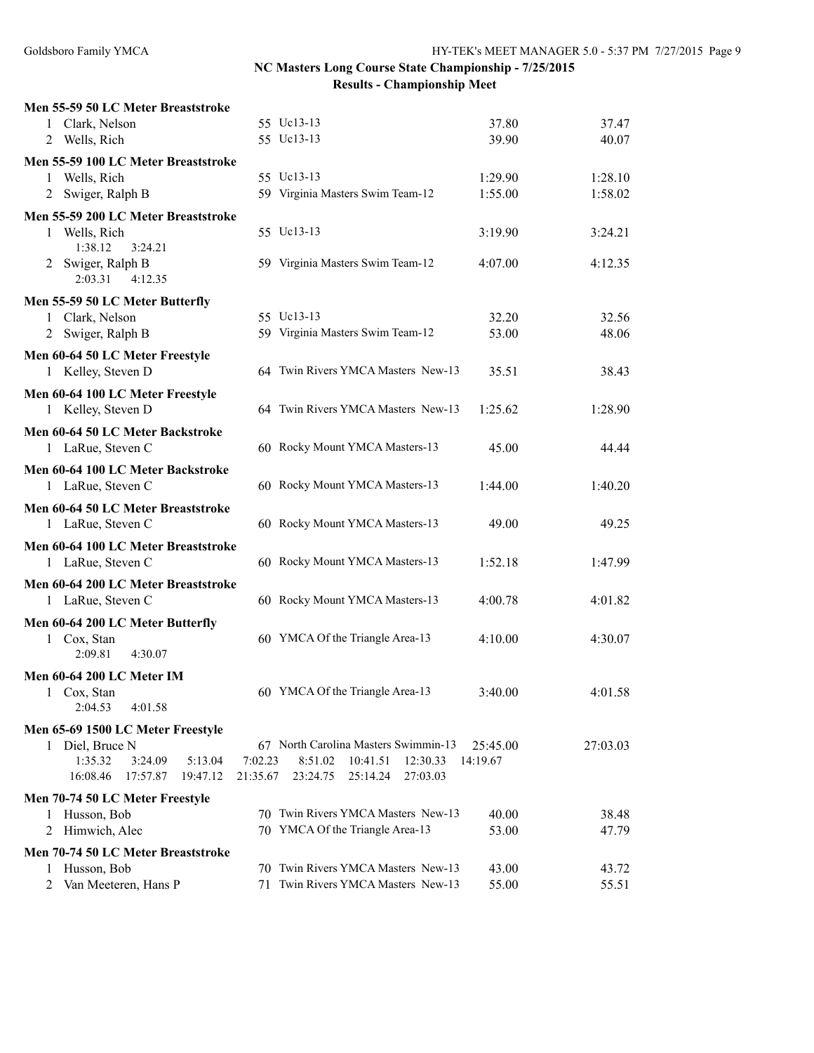| Men 55-59 50 LC Meter Breaststroke                                |                     |                                                                     |                |                |
|-------------------------------------------------------------------|---------------------|---------------------------------------------------------------------|----------------|----------------|
| 1 Clark, Nelson                                                   |                     | 55 Uc13-13                                                          | 37.80          | 37.47          |
| 2 Wells, Rich                                                     |                     | 55 Uc13-13                                                          | 39.90          | 40.07          |
| Men 55-59 100 LC Meter Breaststroke                               |                     |                                                                     |                |                |
| 1 Wells, Rich                                                     |                     | 55 Uc13-13                                                          | 1:29.90        | 1:28.10        |
| 2 Swiger, Ralph B                                                 |                     | 59 Virginia Masters Swim Team-12                                    | 1:55.00        | 1:58.02        |
| Men 55-59 200 LC Meter Breaststroke                               |                     |                                                                     |                |                |
| Wells, Rich<br>1<br>1:38.12<br>3:24.21                            |                     | 55 Uc13-13                                                          | 3:19.90        | 3:24.21        |
| 2 Swiger, Ralph B<br>2:03.31<br>4:12.35                           |                     | 59 Virginia Masters Swim Team-12                                    | 4:07.00        | 4:12.35        |
| Men 55-59 50 LC Meter Butterfly                                   |                     |                                                                     |                |                |
| 1 Clark, Nelson                                                   |                     | 55 Uc13-13                                                          | 32.20          | 32.56          |
| 2 Swiger, Ralph B                                                 |                     | 59 Virginia Masters Swim Team-12                                    | 53.00          | 48.06          |
| Men 60-64 50 LC Meter Freestyle                                   |                     |                                                                     |                |                |
| 1 Kelley, Steven D                                                |                     | 64 Twin Rivers YMCA Masters New-13                                  | 35.51          | 38.43          |
| Men 60-64 100 LC Meter Freestyle                                  |                     |                                                                     |                |                |
| 1 Kelley, Steven D                                                |                     | 64 Twin Rivers YMCA Masters New-13                                  | 1:25.62        | 1:28.90        |
| Men 60-64 50 LC Meter Backstroke                                  |                     |                                                                     |                |                |
| 1 LaRue, Steven C                                                 |                     | 60 Rocky Mount YMCA Masters-13                                      | 45.00          | 44.44          |
| Men 60-64 100 LC Meter Backstroke                                 |                     |                                                                     |                |                |
| 1 LaRue, Steven C                                                 |                     | 60 Rocky Mount YMCA Masters-13                                      | 1:44.00        | 1:40.20        |
|                                                                   |                     |                                                                     |                |                |
| Men 60-64 50 LC Meter Breaststroke<br>1 LaRue, Steven C           |                     | 60 Rocky Mount YMCA Masters-13                                      | 49.00          | 49.25          |
|                                                                   |                     |                                                                     |                |                |
| Men 60-64 100 LC Meter Breaststroke                               |                     |                                                                     |                |                |
| 1 LaRue, Steven C                                                 |                     | 60 Rocky Mount YMCA Masters-13                                      | 1:52.18        | 1:47.99        |
| Men 60-64 200 LC Meter Breaststroke                               |                     |                                                                     |                |                |
| 1 LaRue, Steven C                                                 |                     | 60 Rocky Mount YMCA Masters-13                                      | 4:00.78        | 4:01.82        |
| Men 60-64 200 LC Meter Butterfly                                  |                     |                                                                     |                |                |
| 1 Cox, Stan                                                       |                     | 60 YMCA Of the Triangle Area-13                                     | 4:10.00        | 4:30.07        |
| 2:09.81<br>4:30.07                                                |                     |                                                                     |                |                |
| Men 60-64 200 LC Meter IM                                         |                     |                                                                     |                |                |
| Cox, Stan<br>1                                                    |                     | 60 YMCA Of the Triangle Area-13                                     | 3:40.00        | 4:01.58        |
| 2:04.53<br>4:01.58                                                |                     |                                                                     |                |                |
| Men 65-69 1500 LC Meter Freestyle                                 |                     |                                                                     |                |                |
| 1 Diel, Bruce N                                                   |                     | 67 North Carolina Masters Swimmin-13                                | 25:45.00       | 27:03.03       |
| 1:35.32<br>3:24.09<br>5:13.04<br>16:08.46<br>17:57.87<br>19:47.12 | 7:02.23<br>21:35.67 | 8:51.02<br>10:41.51<br>12:30.33<br>25:14.24<br>27:03.03<br>23:24.75 | 14:19.67       |                |
|                                                                   |                     |                                                                     |                |                |
| Men 70-74 50 LC Meter Freestyle                                   |                     | 70 Twin Rivers YMCA Masters New-13                                  |                |                |
| Husson, Bob<br>1<br>Himwich, Alec<br>2                            |                     | 70 YMCA Of the Triangle Area-13                                     | 40.00<br>53.00 | 38.48<br>47.79 |
|                                                                   |                     |                                                                     |                |                |
| Men 70-74 50 LC Meter Breaststroke                                |                     | 70 Twin Rivers YMCA Masters New-13                                  |                |                |
| Husson, Bob<br>1<br>Van Meeteren, Hans P<br>2                     | 71                  | Twin Rivers YMCA Masters New-13                                     | 43.00<br>55.00 | 43.72<br>55.51 |
|                                                                   |                     |                                                                     |                |                |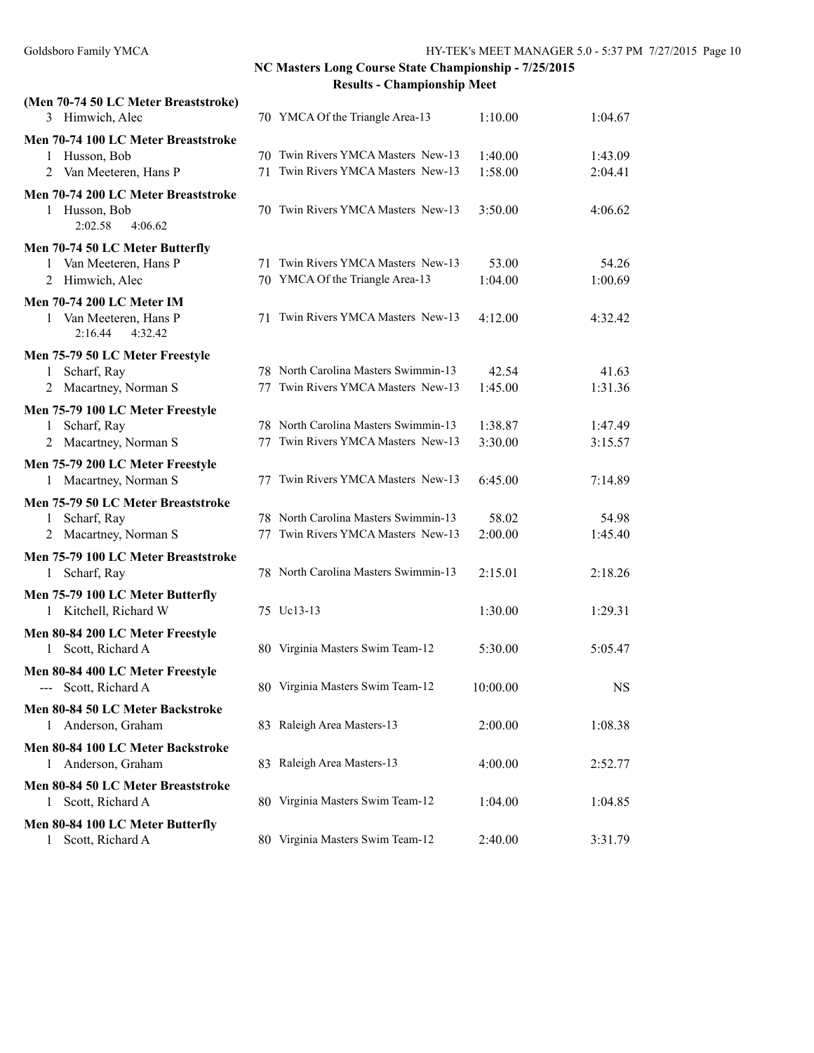| (Men 70-74 50 LC Meter Breaststroke)             |    |                                      |          |           |
|--------------------------------------------------|----|--------------------------------------|----------|-----------|
| 3 Himwich, Alec                                  |    | 70 YMCA Of the Triangle Area-13      | 1:10.00  | 1:04.67   |
| Men 70-74 100 LC Meter Breaststroke              |    |                                      |          |           |
| Husson, Bob<br>1                                 |    | 70 Twin Rivers YMCA Masters New-13   | 1:40.00  | 1:43.09   |
| Van Meeteren, Hans P<br>2                        |    | 71 Twin Rivers YMCA Masters New-13   | 1:58.00  | 2:04.41   |
| Men 70-74 200 LC Meter Breaststroke              |    |                                      |          |           |
| 1 Husson, Bob                                    |    | 70 Twin Rivers YMCA Masters New-13   | 3:50.00  | 4:06.62   |
| 2:02.58<br>4:06.62                               |    |                                      |          |           |
| Men 70-74 50 LC Meter Butterfly                  |    |                                      |          |           |
| 1 Van Meeteren, Hans P                           |    | 71 Twin Rivers YMCA Masters New-13   | 53.00    | 54.26     |
| 2 Himwich, Alec                                  |    | 70 YMCA Of the Triangle Area-13      | 1:04.00  | 1:00.69   |
| Men 70-74 200 LC Meter IM                        |    |                                      |          |           |
| 1 Van Meeteren, Hans P<br>4:32.42<br>2:16.44     |    | 71 Twin Rivers YMCA Masters New-13   | 4:12.00  | 4:32.42   |
|                                                  |    |                                      |          |           |
| Men 75-79 50 LC Meter Freestyle<br>1 Scharf, Ray |    | 78 North Carolina Masters Swimmin-13 | 42.54    | 41.63     |
| 2 Macartney, Norman S                            |    | 77 Twin Rivers YMCA Masters New-13   | 1:45.00  | 1:31.36   |
|                                                  |    |                                      |          |           |
| Men 75-79 100 LC Meter Freestyle<br>Scharf, Ray  |    | 78 North Carolina Masters Swimmin-13 | 1:38.87  | 1:47.49   |
| 1                                                |    | 77 Twin Rivers YMCA Masters New-13   | 3:30.00  | 3:15.57   |
| Macartney, Norman S<br>2                         |    |                                      |          |           |
| Men 75-79 200 LC Meter Freestyle                 |    |                                      |          |           |
| 1 Macartney, Norman S                            |    | 77 Twin Rivers YMCA Masters New-13   | 6:45.00  | 7:14.89   |
| Men 75-79 50 LC Meter Breaststroke               |    |                                      |          |           |
| Scharf, Ray<br>1                                 |    | 78 North Carolina Masters Swimmin-13 | 58.02    | 54.98     |
| 2 Macartney, Norman S                            | 77 | Twin Rivers YMCA Masters New-13      | 2:00.00  | 1:45.40   |
| Men 75-79 100 LC Meter Breaststroke              |    |                                      |          |           |
| 1 Scharf, Ray                                    |    | 78 North Carolina Masters Swimmin-13 | 2:15.01  | 2:18.26   |
| Men 75-79 100 LC Meter Butterfly                 |    |                                      |          |           |
| 1 Kitchell, Richard W                            |    | 75 Uc13-13                           | 1:30.00  | 1:29.31   |
| Men 80-84 200 LC Meter Freestyle                 |    |                                      |          |           |
| Scott, Richard A<br>1                            |    | 80 Virginia Masters Swim Team-12     | 5:30.00  | 5:05.47   |
| Men 80-84 400 LC Meter Freestyle                 |    |                                      |          |           |
| Scott, Richard A                                 |    | 80 Virginia Masters Swim Team-12     | 10:00.00 | <b>NS</b> |
| Men 80-84 50 LC Meter Backstroke                 |    |                                      |          |           |
| 1 Anderson, Graham                               |    | 83 Raleigh Area Masters-13           | 2:00.00  | 1:08.38   |
| Men 80-84 100 LC Meter Backstroke                |    |                                      |          |           |
| 1 Anderson, Graham                               |    | 83 Raleigh Area Masters-13           | 4:00.00  | 2:52.77   |
| Men 80-84 50 LC Meter Breaststroke               |    |                                      |          |           |
| 1 Scott, Richard A                               |    | 80 Virginia Masters Swim Team-12     | 1:04.00  | 1:04.85   |
| Men 80-84 100 LC Meter Butterfly                 |    |                                      |          |           |
| Scott, Richard A<br>1                            |    | 80 Virginia Masters Swim Team-12     | 2:40.00  | 3:31.79   |